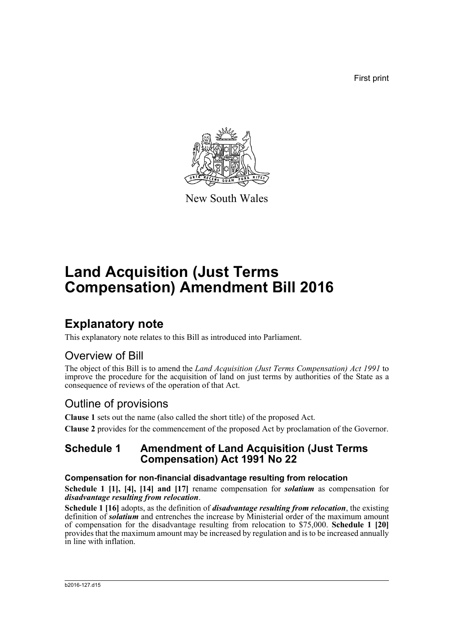First print



New South Wales

# **Land Acquisition (Just Terms Compensation) Amendment Bill 2016**

## **Explanatory note**

This explanatory note relates to this Bill as introduced into Parliament.

### Overview of Bill

The object of this Bill is to amend the *Land Acquisition (Just Terms Compensation) Act 1991* to improve the procedure for the acquisition of land on just terms by authorities of the State as a consequence of reviews of the operation of that Act.

### Outline of provisions

**Clause 1** sets out the name (also called the short title) of the proposed Act.

**Clause 2** provides for the commencement of the proposed Act by proclamation of the Governor.

### **Schedule 1 Amendment of Land Acquisition (Just Terms Compensation) Act 1991 No 22**

### **Compensation for non-financial disadvantage resulting from relocation**

**Schedule 1 [1], [4], [14] and [17]** rename compensation for *solatium* as compensation for *disadvantage resulting from relocation*.

**Schedule 1 [16]** adopts, as the definition of *disadvantage resulting from relocation*, the existing definition of *solatium* and entrenches the increase by Ministerial order of the maximum amount of compensation for the disadvantage resulting from relocation to \$75,000. **Schedule 1 [20]** provides that the maximum amount may be increased by regulation and is to be increased annually in line with inflation.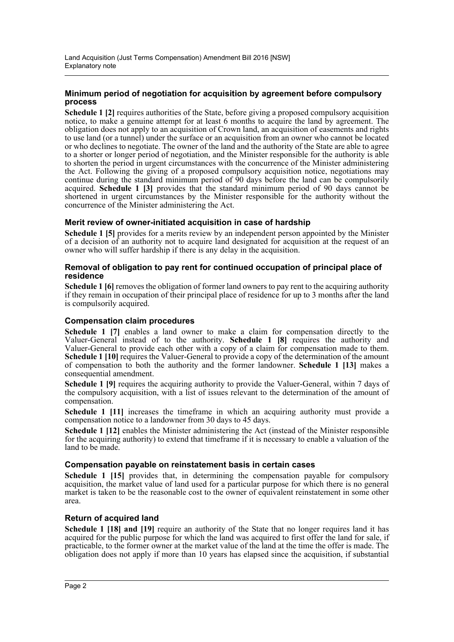#### **Minimum period of negotiation for acquisition by agreement before compulsory process**

**Schedule 1 [2]** requires authorities of the State, before giving a proposed compulsory acquisition notice, to make a genuine attempt for at least 6 months to acquire the land by agreement. The obligation does not apply to an acquisition of Crown land, an acquisition of easements and rights to use land (or a tunnel) under the surface or an acquisition from an owner who cannot be located or who declines to negotiate. The owner of the land and the authority of the State are able to agree to a shorter or longer period of negotiation, and the Minister responsible for the authority is able to shorten the period in urgent circumstances with the concurrence of the Minister administering the Act. Following the giving of a proposed compulsory acquisition notice, negotiations may continue during the standard minimum period of 90 days before the land can be compulsorily acquired. **Schedule 1 [3]** provides that the standard minimum period of 90 days cannot be shortened in urgent circumstances by the Minister responsible for the authority without the concurrence of the Minister administering the Act.

#### **Merit review of owner-initiated acquisition in case of hardship**

**Schedule 1 [5]** provides for a merits review by an independent person appointed by the Minister of a decision of an authority not to acquire land designated for acquisition at the request of an owner who will suffer hardship if there is any delay in the acquisition.

#### **Removal of obligation to pay rent for continued occupation of principal place of residence**

**Schedule 1 [6]** removes the obligation of former land owners to pay rent to the acquiring authority if they remain in occupation of their principal place of residence for up to 3 months after the land is compulsorily acquired.

#### **Compensation claim procedures**

**Schedule 1 [7]** enables a land owner to make a claim for compensation directly to the Valuer-General instead of to the authority. **Schedule 1 [8]** requires the authority and Valuer-General to provide each other with a copy of a claim for compensation made to them. **Schedule 1 [10]** requires the Valuer-General to provide a copy of the determination of the amount of compensation to both the authority and the former landowner. **Schedule 1 [13]** makes a consequential amendment.

**Schedule 1 [9]** requires the acquiring authority to provide the Valuer-General, within 7 days of the compulsory acquisition, with a list of issues relevant to the determination of the amount of compensation.

**Schedule 1 [11]** increases the timeframe in which an acquiring authority must provide a compensation notice to a landowner from 30 days to 45 days.

**Schedule 1 [12]** enables the Minister administering the Act (instead of the Minister responsible for the acquiring authority) to extend that timeframe if it is necessary to enable a valuation of the land to be made.

#### **Compensation payable on reinstatement basis in certain cases**

**Schedule 1 [15]** provides that, in determining the compensation payable for compulsory acquisition, the market value of land used for a particular purpose for which there is no general market is taken to be the reasonable cost to the owner of equivalent reinstatement in some other area.

#### **Return of acquired land**

**Schedule 1 [18] and [19]** require an authority of the State that no longer requires land it has acquired for the public purpose for which the land was acquired to first offer the land for sale, if practicable, to the former owner at the market value of the land at the time the offer is made. The obligation does not apply if more than 10 years has elapsed since the acquisition, if substantial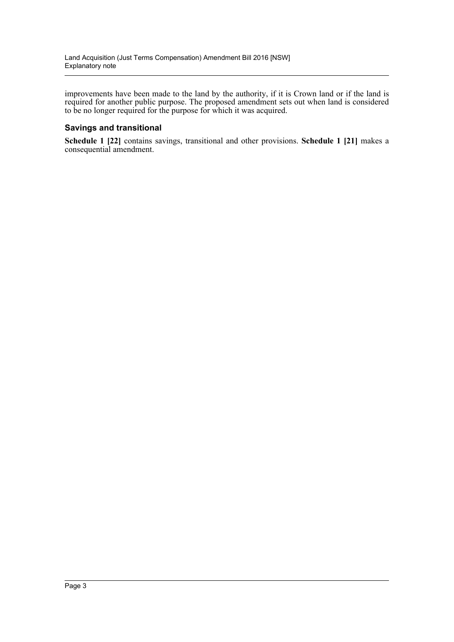improvements have been made to the land by the authority, if it is Crown land or if the land is required for another public purpose. The proposed amendment sets out when land is considered to be no longer required for the purpose for which it was acquired.

#### **Savings and transitional**

**Schedule 1 [22]** contains savings, transitional and other provisions. **Schedule 1 [21]** makes a consequential amendment.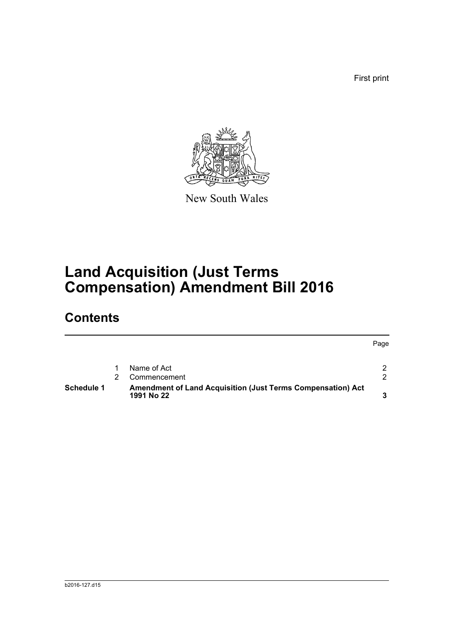First print

Page



New South Wales

# **Land Acquisition (Just Terms Compensation) Amendment Bill 2016**

## **Contents**

| Schedule 1 | <b>Amendment of Land Acquisition (Just Terms Compensation) Act</b><br>1991 No 22 |  |
|------------|----------------------------------------------------------------------------------|--|
|            | Commencement                                                                     |  |
|            | Name of Act                                                                      |  |
|            |                                                                                  |  |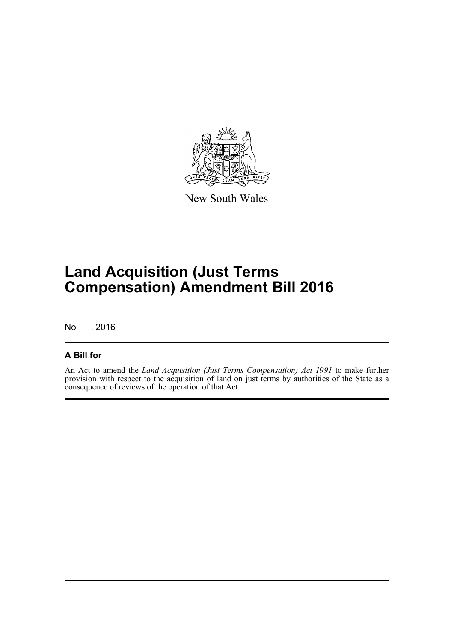

New South Wales

## **Land Acquisition (Just Terms Compensation) Amendment Bill 2016**

No , 2016

### **A Bill for**

An Act to amend the *Land Acquisition (Just Terms Compensation) Act 1991* to make further provision with respect to the acquisition of land on just terms by authorities of the State as a consequence of reviews of the operation of that Act.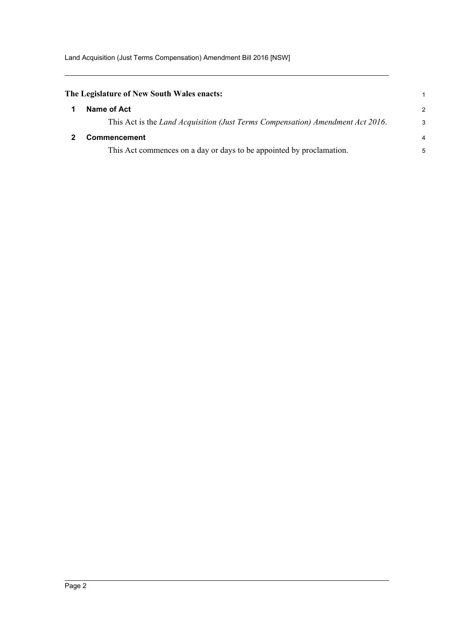<span id="page-5-1"></span><span id="page-5-0"></span>

| The Legislature of New South Wales enacts:                                     |                |  |
|--------------------------------------------------------------------------------|----------------|--|
| Name of Act                                                                    | $\mathcal{P}$  |  |
| This Act is the Land Acquisition (Just Terms Compensation) Amendment Act 2016. | 3              |  |
| <b>Commencement</b>                                                            | $\overline{4}$ |  |
| This Act commences on a day or days to be appointed by proclamation.           | 5              |  |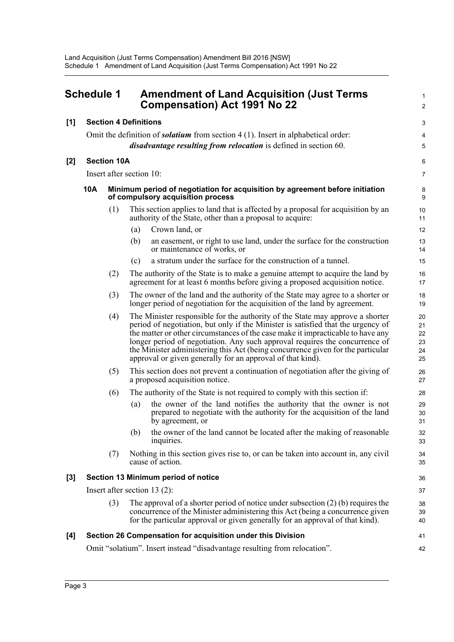<span id="page-6-0"></span>

| <b>Schedule 1</b> |                                                                                                                          | <b>Amendment of Land Acquisition (Just Terms</b><br><b>Compensation) Act 1991 No 22</b>                                                                                                                                                                                                                                                                                                                                                                                              |                                  |  |  |
|-------------------|--------------------------------------------------------------------------------------------------------------------------|--------------------------------------------------------------------------------------------------------------------------------------------------------------------------------------------------------------------------------------------------------------------------------------------------------------------------------------------------------------------------------------------------------------------------------------------------------------------------------------|----------------------------------|--|--|
| [1]               |                                                                                                                          | <b>Section 4 Definitions</b>                                                                                                                                                                                                                                                                                                                                                                                                                                                         | 3                                |  |  |
|                   |                                                                                                                          | Omit the definition of <i>solatium</i> from section $4(1)$ . Insert in alphabetical order:                                                                                                                                                                                                                                                                                                                                                                                           | 4                                |  |  |
|                   |                                                                                                                          | <i>disadvantage resulting from relocation</i> is defined in section 60.                                                                                                                                                                                                                                                                                                                                                                                                              | 5                                |  |  |
| $[2]$             | <b>Section 10A</b>                                                                                                       |                                                                                                                                                                                                                                                                                                                                                                                                                                                                                      |                                  |  |  |
|                   |                                                                                                                          | Insert after section 10:                                                                                                                                                                                                                                                                                                                                                                                                                                                             | 7                                |  |  |
|                   | 10A<br>Minimum period of negotiation for acquisition by agreement before initiation<br>of compulsory acquisition process |                                                                                                                                                                                                                                                                                                                                                                                                                                                                                      | 8<br>9                           |  |  |
|                   | (1)                                                                                                                      | This section applies to land that is affected by a proposal for acquisition by an<br>authority of the State, other than a proposal to acquire:                                                                                                                                                                                                                                                                                                                                       | 10<br>11                         |  |  |
|                   |                                                                                                                          | Crown land, or<br>(a)                                                                                                                                                                                                                                                                                                                                                                                                                                                                | 12                               |  |  |
|                   |                                                                                                                          | an easement, or right to use land, under the surface for the construction<br>(b)<br>or maintenance of works, or                                                                                                                                                                                                                                                                                                                                                                      | 13<br>14                         |  |  |
|                   |                                                                                                                          | a stratum under the surface for the construction of a tunnel.<br>(c)                                                                                                                                                                                                                                                                                                                                                                                                                 | 15                               |  |  |
|                   | (2)                                                                                                                      | The authority of the State is to make a genuine attempt to acquire the land by<br>agreement for at least 6 months before giving a proposed acquisition notice.                                                                                                                                                                                                                                                                                                                       | 16<br>17                         |  |  |
|                   | (3)                                                                                                                      | The owner of the land and the authority of the State may agree to a shorter or<br>longer period of negotiation for the acquisition of the land by agreement.                                                                                                                                                                                                                                                                                                                         | 18<br>19                         |  |  |
|                   | (4)                                                                                                                      | The Minister responsible for the authority of the State may approve a shorter<br>period of negotiation, but only if the Minister is satisfied that the urgency of<br>the matter or other circumstances of the case make it impracticable to have any<br>longer period of negotiation. Any such approval requires the concurrence of<br>the Minister administering this Act (being concurrence given for the particular<br>approval or given generally for an approval of that kind). | 20<br>21<br>22<br>23<br>24<br>25 |  |  |
|                   | (5)                                                                                                                      | This section does not prevent a continuation of negotiation after the giving of<br>a proposed acquisition notice.                                                                                                                                                                                                                                                                                                                                                                    | 26<br>27                         |  |  |
|                   | (6)                                                                                                                      | The authority of the State is not required to comply with this section if:                                                                                                                                                                                                                                                                                                                                                                                                           | 28                               |  |  |
|                   |                                                                                                                          | the owner of the land notifies the authority that the owner is not<br>(a)<br>prepared to negotiate with the authority for the acquisition of the land<br>by agreement, or                                                                                                                                                                                                                                                                                                            | 29<br>30<br>31                   |  |  |
|                   |                                                                                                                          | the owner of the land cannot be located after the making of reasonable<br>(b)<br>inquiries.                                                                                                                                                                                                                                                                                                                                                                                          | 32<br>33                         |  |  |
|                   | (7)                                                                                                                      | Nothing in this section gives rise to, or can be taken into account in, any civil<br>cause of action.                                                                                                                                                                                                                                                                                                                                                                                | 34<br>35                         |  |  |
| $[3]$             |                                                                                                                          | Section 13 Minimum period of notice                                                                                                                                                                                                                                                                                                                                                                                                                                                  | 36                               |  |  |
|                   |                                                                                                                          | Insert after section 13 $(2)$ :                                                                                                                                                                                                                                                                                                                                                                                                                                                      | 37                               |  |  |
|                   | (3)                                                                                                                      | The approval of a shorter period of notice under subsection $(2)$ (b) requires the<br>concurrence of the Minister administering this Act (being a concurrence given<br>for the particular approval or given generally for an approval of that kind).                                                                                                                                                                                                                                 | 38<br>39<br>40                   |  |  |
| $[4]$             |                                                                                                                          | Section 26 Compensation for acquisition under this Division                                                                                                                                                                                                                                                                                                                                                                                                                          | 41                               |  |  |
|                   |                                                                                                                          | Omit "solatium". Insert instead "disadvantage resulting from relocation".                                                                                                                                                                                                                                                                                                                                                                                                            | 42                               |  |  |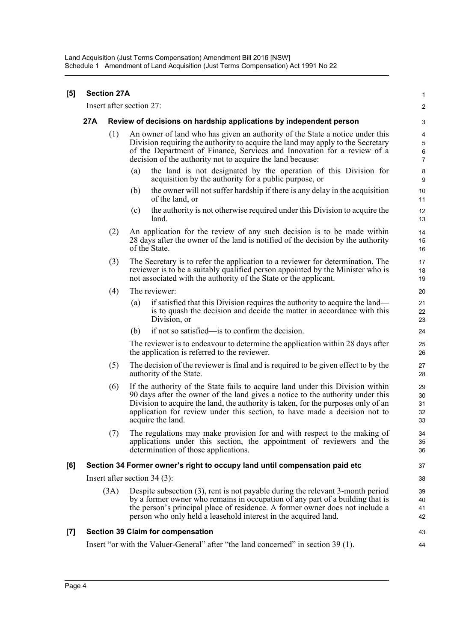| $\lbrack 5 \rbrack$ |     | <b>Section 27A</b> |                                                                                                                                                                                                                                                                                                                                                         | $\mathbf{1}$                                     |
|---------------------|-----|--------------------|---------------------------------------------------------------------------------------------------------------------------------------------------------------------------------------------------------------------------------------------------------------------------------------------------------------------------------------------------------|--------------------------------------------------|
|                     |     |                    | Insert after section 27:                                                                                                                                                                                                                                                                                                                                | $\overline{c}$                                   |
|                     | 27A |                    | Review of decisions on hardship applications by independent person                                                                                                                                                                                                                                                                                      | 3                                                |
|                     |     | (1)                | An owner of land who has given an authority of the State a notice under this<br>Division requiring the authority to acquire the land may apply to the Secretary<br>of the Department of Finance, Services and Innovation for a review of a<br>decision of the authority not to acquire the land because:                                                | 4<br>$\overline{5}$<br>$\,6\,$<br>$\overline{7}$ |
|                     |     |                    | the land is not designated by the operation of this Division for<br>(a)<br>acquisition by the authority for a public purpose, or                                                                                                                                                                                                                        | 8<br>$\boldsymbol{9}$                            |
|                     |     |                    | the owner will not suffer hardship if there is any delay in the acquisition<br>(b)<br>of the land, or                                                                                                                                                                                                                                                   | 10<br>11                                         |
|                     |     |                    | the authority is not otherwise required under this Division to acquire the<br>(c)<br>land.                                                                                                                                                                                                                                                              | 12<br>13                                         |
|                     |     | (2)                | An application for the review of any such decision is to be made within<br>28 days after the owner of the land is notified of the decision by the authority<br>of the State.                                                                                                                                                                            | 14<br>15<br>16                                   |
|                     |     | (3)                | The Secretary is to refer the application to a reviewer for determination. The<br>reviewer is to be a suitably qualified person appointed by the Minister who is<br>not associated with the authority of the State or the applicant.                                                                                                                    | 17<br>18<br>19                                   |
|                     |     | (4)                | The reviewer:                                                                                                                                                                                                                                                                                                                                           | 20                                               |
|                     |     |                    | if satisfied that this Division requires the authority to acquire the land—<br>(a)<br>is to quash the decision and decide the matter in accordance with this<br>Division, or                                                                                                                                                                            | 21<br>22<br>23                                   |
|                     |     |                    | if not so satisfied—is to confirm the decision.<br>(b)                                                                                                                                                                                                                                                                                                  | 24                                               |
|                     |     |                    | The reviewer is to endeavour to determine the application within 28 days after<br>the application is referred to the reviewer.                                                                                                                                                                                                                          | 25<br>26                                         |
|                     |     | (5)                | The decision of the reviewer is final and is required to be given effect to by the<br>authority of the State.                                                                                                                                                                                                                                           | 27<br>28                                         |
|                     |     | (6)                | If the authority of the State fails to acquire land under this Division within<br>90 days after the owner of the land gives a notice to the authority under this<br>Division to acquire the land, the authority is taken, for the purposes only of an<br>application for review under this section, to have made a decision not to<br>acquire the land. | 29<br>30<br>31<br>32<br>33                       |
|                     |     | (7)                | The regulations may make provision for and with respect to the making of<br>applications under this section, the appointment of reviewers and the<br>determination of those applications.                                                                                                                                                               | 34<br>35<br>36                                   |
| [6]                 |     |                    | Section 34 Former owner's right to occupy land until compensation paid etc                                                                                                                                                                                                                                                                              | 37                                               |
|                     |     |                    | Insert after section $34(3)$ :                                                                                                                                                                                                                                                                                                                          | 38                                               |
|                     |     | (3A)               | Despite subsection (3), rent is not payable during the relevant 3-month period<br>by a former owner who remains in occupation of any part of a building that is<br>the person's principal place of residence. A former owner does not include a<br>person who only held a leasehold interest in the acquired land.                                      | 39<br>40<br>41<br>42                             |
| [7]                 |     |                    | <b>Section 39 Claim for compensation</b>                                                                                                                                                                                                                                                                                                                | 43                                               |
|                     |     |                    | Insert "or with the Valuer-General" after "the land concerned" in section 39 (1).                                                                                                                                                                                                                                                                       | 44                                               |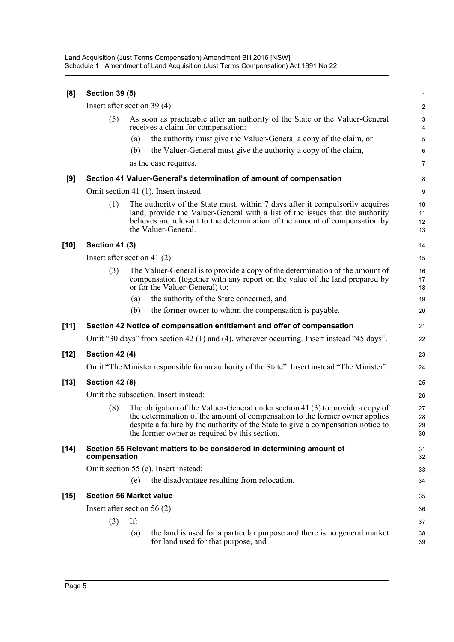Land Acquisition (Just Terms Compensation) Amendment Bill 2016 [NSW] Schedule 1 Amendment of Land Acquisition (Just Terms Compensation) Act 1991 No 22

| [8]    | <b>Section 39 (5)</b>                |                                                                                                                                                                                                                                                                                                    | 1                    |  |  |
|--------|--------------------------------------|----------------------------------------------------------------------------------------------------------------------------------------------------------------------------------------------------------------------------------------------------------------------------------------------------|----------------------|--|--|
|        |                                      | Insert after section $39(4)$ :                                                                                                                                                                                                                                                                     | $\overline{2}$       |  |  |
|        | (5)                                  | As soon as practicable after an authority of the State or the Valuer-General<br>receives a claim for compensation:                                                                                                                                                                                 | 3<br>4               |  |  |
|        |                                      | the authority must give the Valuer-General a copy of the claim, or<br>(a)                                                                                                                                                                                                                          | 5                    |  |  |
|        |                                      | the Valuer-General must give the authority a copy of the claim,<br>(b)                                                                                                                                                                                                                             | 6                    |  |  |
|        |                                      | as the case requires.                                                                                                                                                                                                                                                                              | 7                    |  |  |
| [9]    |                                      | Section 41 Valuer-General's determination of amount of compensation                                                                                                                                                                                                                                | 8                    |  |  |
|        | Omit section 41 (1). Insert instead: |                                                                                                                                                                                                                                                                                                    |                      |  |  |
|        | (1)                                  | The authority of the State must, within 7 days after it compulsorily acquires<br>land, provide the Valuer-General with a list of the issues that the authority<br>believes are relevant to the determination of the amount of compensation by<br>the Valuer-General.                               | 10<br>11<br>12<br>13 |  |  |
| $[10]$ | <b>Section 41 (3)</b>                |                                                                                                                                                                                                                                                                                                    | 14                   |  |  |
|        |                                      | Insert after section 41 $(2)$ :                                                                                                                                                                                                                                                                    | 15                   |  |  |
|        | (3)                                  | The Valuer-General is to provide a copy of the determination of the amount of<br>compensation (together with any report on the value of the land prepared by<br>or for the Valuer-General) to:                                                                                                     | 16<br>17<br>18       |  |  |
|        |                                      | the authority of the State concerned, and<br>(a)                                                                                                                                                                                                                                                   | 19                   |  |  |
|        |                                      | the former owner to whom the compensation is payable.<br>(b)                                                                                                                                                                                                                                       | 20                   |  |  |
|        |                                      |                                                                                                                                                                                                                                                                                                    |                      |  |  |
| $[11]$ |                                      | Section 42 Notice of compensation entitlement and offer of compensation                                                                                                                                                                                                                            | 21                   |  |  |
|        |                                      | Omit "30 days" from section 42 (1) and (4), wherever occurring. Insert instead "45 days".                                                                                                                                                                                                          | 22                   |  |  |
| $[12]$ | <b>Section 42 (4)</b>                |                                                                                                                                                                                                                                                                                                    | 23                   |  |  |
|        |                                      | Omit "The Minister responsible for an authority of the State". Insert instead "The Minister".                                                                                                                                                                                                      | 24                   |  |  |
| $[13]$ | <b>Section 42 (8)</b>                |                                                                                                                                                                                                                                                                                                    | 25                   |  |  |
|        |                                      | Omit the subsection. Insert instead:                                                                                                                                                                                                                                                               | 26                   |  |  |
|        | (8)                                  | The obligation of the Valuer-General under section 41 (3) to provide a copy of<br>the determination of the amount of compensation to the former owner applies<br>despite a failure by the authority of the State to give a compensation notice to<br>the former owner as required by this section. | 27<br>28<br>29<br>30 |  |  |
| $[14]$ | compensation                         | Section 55 Relevant matters to be considered in determining amount of                                                                                                                                                                                                                              | 31<br>32             |  |  |
|        |                                      | Omit section 55 (e). Insert instead:                                                                                                                                                                                                                                                               | 33                   |  |  |
|        |                                      | the disadvantage resulting from relocation,<br>(e)                                                                                                                                                                                                                                                 | 34                   |  |  |
| $[15]$ |                                      | <b>Section 56 Market value</b>                                                                                                                                                                                                                                                                     | 35                   |  |  |
|        |                                      | Insert after section 56 $(2)$ :                                                                                                                                                                                                                                                                    | 36                   |  |  |
|        | (3)                                  | If:                                                                                                                                                                                                                                                                                                | 37                   |  |  |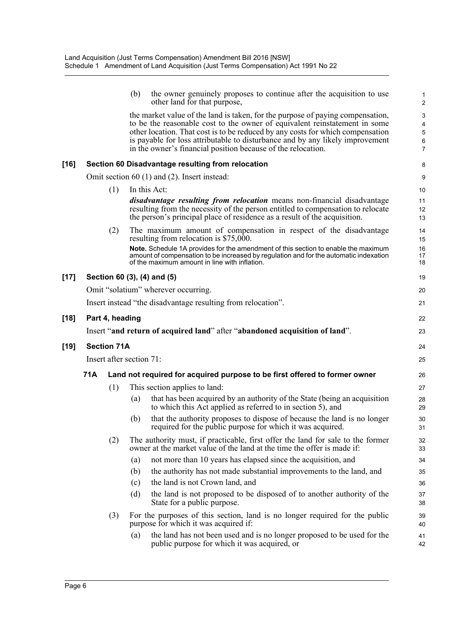|        |                    | (b)                      | the owner genuinely proposes to continue after the acquisition to use<br>other land for that purpose,                                                                                                                                                                                                                                                                                           | $\mathbf{1}$<br>$\overline{c}$     |
|--------|--------------------|--------------------------|-------------------------------------------------------------------------------------------------------------------------------------------------------------------------------------------------------------------------------------------------------------------------------------------------------------------------------------------------------------------------------------------------|------------------------------------|
|        |                    |                          | the market value of the land is taken, for the purpose of paying compensation,<br>to be the reasonable cost to the owner of equivalent reinstatement in some<br>other location. That cost is to be reduced by any costs for which compensation<br>is payable for loss attributable to disturbance and by any likely improvement<br>in the owner's financial position because of the relocation. | 3<br>4<br>5<br>6<br>$\overline{7}$ |
| $[16]$ |                    |                          | Section 60 Disadvantage resulting from relocation                                                                                                                                                                                                                                                                                                                                               | 8                                  |
|        |                    |                          | Omit section $60$ (1) and (2). Insert instead:                                                                                                                                                                                                                                                                                                                                                  | 9                                  |
|        | (1)                |                          | In this Act:                                                                                                                                                                                                                                                                                                                                                                                    | 10                                 |
|        |                    |                          | <i>disadvantage resulting from relocation</i> means non-financial disadvantage<br>resulting from the necessity of the person entitled to compensation to relocate<br>the person's principal place of residence as a result of the acquisition.                                                                                                                                                  | 11<br>12<br>13                     |
|        | (2)                |                          | The maximum amount of compensation in respect of the disadvantage<br>resulting from relocation is $$75,000$ .                                                                                                                                                                                                                                                                                   | 14<br>15                           |
|        |                    |                          | Note. Schedule 1A provides for the amendment of this section to enable the maximum<br>amount of compensation to be increased by regulation and for the automatic indexation<br>of the maximum amount in line with inflation.                                                                                                                                                                    | 16<br>17<br>18                     |
| $[17]$ |                    |                          | Section 60 (3), (4) and (5)                                                                                                                                                                                                                                                                                                                                                                     | 19                                 |
|        |                    |                          | Omit "solatium" wherever occurring.                                                                                                                                                                                                                                                                                                                                                             | 20                                 |
|        |                    |                          | Insert instead "the disadvantage resulting from relocation".                                                                                                                                                                                                                                                                                                                                    | 21                                 |
| $[18]$ | Part 4, heading    |                          |                                                                                                                                                                                                                                                                                                                                                                                                 | 22                                 |
|        |                    |                          | Insert "and return of acquired land" after "abandoned acquisition of land".                                                                                                                                                                                                                                                                                                                     | 23                                 |
|        |                    |                          |                                                                                                                                                                                                                                                                                                                                                                                                 |                                    |
|        |                    |                          |                                                                                                                                                                                                                                                                                                                                                                                                 |                                    |
| $[19]$ | <b>Section 71A</b> | Insert after section 71: |                                                                                                                                                                                                                                                                                                                                                                                                 | 24<br>25                           |
|        |                    |                          |                                                                                                                                                                                                                                                                                                                                                                                                 |                                    |
|        | 71A                |                          | Land not required for acquired purpose to be first offered to former owner                                                                                                                                                                                                                                                                                                                      | 26                                 |
|        | (1)                | (a)                      | This section applies to land:<br>that has been acquired by an authority of the State (being an acquisition<br>to which this Act applied as referred to in section 5), and                                                                                                                                                                                                                       | 27<br>28<br>29                     |
|        |                    | (b)                      | that the authority proposes to dispose of because the land is no longer<br>required for the public purpose for which it was acquired.                                                                                                                                                                                                                                                           | 30<br>31                           |
|        | (2)                |                          | The authority must, if practicable, first offer the land for sale to the former<br>owner at the market value of the land at the time the offer is made if:                                                                                                                                                                                                                                      | 32<br>33                           |
|        |                    | (a)                      | not more than 10 years has elapsed since the acquisition, and                                                                                                                                                                                                                                                                                                                                   | 34                                 |
|        |                    | (b)                      | the authority has not made substantial improvements to the land, and                                                                                                                                                                                                                                                                                                                            | 35                                 |
|        |                    | (c)                      | the land is not Crown land, and                                                                                                                                                                                                                                                                                                                                                                 | 36                                 |
|        |                    | (d)                      | the land is not proposed to be disposed of to another authority of the<br>State for a public purpose.                                                                                                                                                                                                                                                                                           | 37<br>38                           |
|        | (3)                | (a)                      | For the purposes of this section, land is no longer required for the public<br>purpose for which it was acquired if:<br>the land has not been used and is no longer proposed to be used for the                                                                                                                                                                                                 | 39<br>40                           |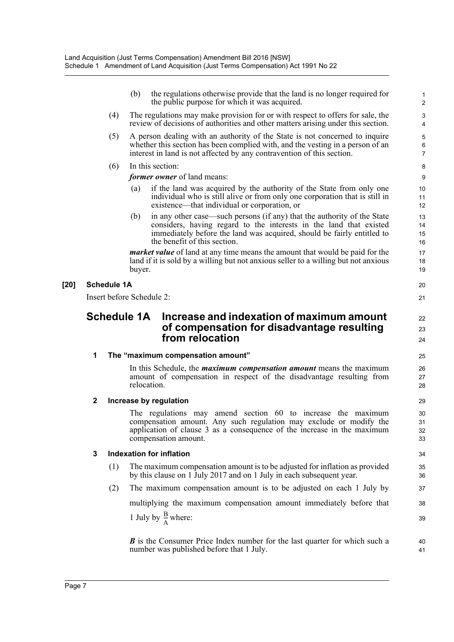|        |                  |                    | (b)                | the regulations otherwise provide that the land is no longer required for<br>the public purpose for which it was acquired.                                                                                                                              | $\mathbf{1}$<br>$\overline{c}$ |
|--------|------------------|--------------------|--------------------|---------------------------------------------------------------------------------------------------------------------------------------------------------------------------------------------------------------------------------------------------------|--------------------------------|
|        |                  | (4)                |                    | The regulations may make provision for or with respect to offers for sale, the<br>review of decisions of authorities and other matters arising under this section.                                                                                      | 3<br>4                         |
|        |                  | (5)                |                    | A person dealing with an authority of the State is not concerned to inquire<br>whether this section has been complied with, and the vesting in a person of an<br>interest in land is not affected by any contravention of this section.                 | 5<br>6<br>$\overline{7}$       |
|        |                  | (6)                |                    | In this section:                                                                                                                                                                                                                                        | 8                              |
|        |                  |                    |                    | <i>former owner</i> of land means:                                                                                                                                                                                                                      | 9                              |
|        |                  |                    | (a)                | if the land was acquired by the authority of the State from only one<br>individual who is still alive or from only one corporation that is still in<br>existence—that individual or corporation, or                                                     | 10<br>11<br>12                 |
|        |                  |                    | (b)                | in any other case—such persons (if any) that the authority of the State<br>considers, having regard to the interests in the land that existed<br>immediately before the land was acquired, should be fairly entitled to<br>the benefit of this section. | 13<br>14<br>15<br>16           |
|        |                  |                    | buyer.             | <i>market value</i> of land at any time means the amount that would be paid for the<br>land if it is sold by a willing but not anxious seller to a willing but not anxious                                                                              | 17<br>18<br>19                 |
| $[20]$ |                  | <b>Schedule 1A</b> |                    |                                                                                                                                                                                                                                                         | 20                             |
|        |                  |                    |                    | Insert before Schedule 2:                                                                                                                                                                                                                               | 21                             |
|        |                  |                    | <b>Schedule 1A</b> | Increase and indexation of maximum amount<br>of compensation for disadvantage resulting<br>from relocation                                                                                                                                              | 22<br>23<br>24                 |
|        | 1                |                    |                    | The "maximum compensation amount"                                                                                                                                                                                                                       | 25                             |
|        |                  |                    |                    | In this Schedule, the <i>maximum compensation amount</i> means the maximum<br>amount of compensation in respect of the disadvantage resulting from<br>relocation.                                                                                       | 26<br>27<br>28                 |
|        | $\boldsymbol{2}$ |                    |                    | Increase by regulation                                                                                                                                                                                                                                  | 29                             |
|        |                  |                    |                    | The regulations may amend section 60 to increase the maximum<br>compensation amount. Any such regulation may exclude or modify the<br>application of clause 3 as a consequence of the increase in the maximum<br>compensation amount.                   | 30<br>31<br>32<br>33           |
|        | 3                |                    |                    | <b>Indexation for inflation</b>                                                                                                                                                                                                                         | 34                             |
|        |                  | (1)                |                    | The maximum compensation amount is to be adjusted for inflation as provided<br>by this clause on 1 July 2017 and on 1 July in each subsequent year.                                                                                                     | 35<br>36                       |
|        |                  | (2)                |                    | The maximum compensation amount is to be adjusted on each 1 July by                                                                                                                                                                                     | 37                             |
|        |                  |                    |                    | multiplying the maximum compensation amount immediately before that                                                                                                                                                                                     | 38                             |
|        |                  |                    |                    | 1 July by $\frac{B}{\Delta}$ where:                                                                                                                                                                                                                     | 39                             |
|        |                  |                    |                    | <b>B</b> is the Consumer Price Index number for the last quarter for which such a<br>number was published before that 1 July.                                                                                                                           | 40<br>41                       |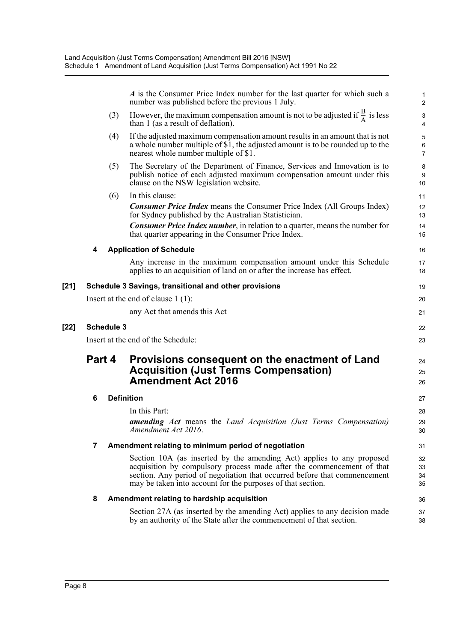*A* is the Consumer Price Index number for the last quarter for which such a number was published before the previous 1 July. (3) However, the maximum compensation amount is not to be adjusted if  $\frac{B}{A}$  is less than 1 (as a result of deflation). (4) If the adjusted maximum compensation amount results in an amount that is not a whole number multiple of \$1, the adjusted amount is to be rounded up to the nearest whole number multiple of \$1. (5) The Secretary of the Department of Finance, Services and Innovation is to publish notice of each adjusted maximum compensation amount under this clause on the NSW legislation website. (6) In this clause: *Consumer Price Index* means the Consumer Price Index (All Groups Index) for Sydney published by the Australian Statistician. *Consumer Price Index number*, in relation to a quarter, means the number for that quarter appearing in the Consumer Price Index. **4 Application of Schedule** Any increase in the maximum compensation amount under this Schedule applies to an acquisition of land on or after the increase has effect. **[21] Schedule 3 Savings, transitional and other provisions** Insert at the end of clause 1 (1): any Act that amends this Act **[22] Schedule 3** Insert at the end of the Schedule: **Part 4 Provisions consequent on the enactment of Land Acquisition (Just Terms Compensation) Amendment Act 2016 6 Definition** In this Part: *amending Act* means the *Land Acquisition (Just Terms Compensation) Amendment Act 2016*. **7 Amendment relating to minimum period of negotiation** Section 10A (as inserted by the amending Act) applies to any proposed acquisition by compulsory process made after the commencement of that section. Any period of negotiation that occurred before that commencement may be taken into account for the purposes of that section. **8 Amendment relating to hardship acquisition** Section 27A (as inserted by the amending Act) applies to any decision made by an authority of the State after the commencement of that section. 1 2  $\frac{B}{A}$  is less 3 4 5 6 7 8 9 10 11 12 13 14 15 16 17 18 19 20 21 22 23 24 25 26 27 28  $29$ 30 31 32 33 34 35 36 37 38